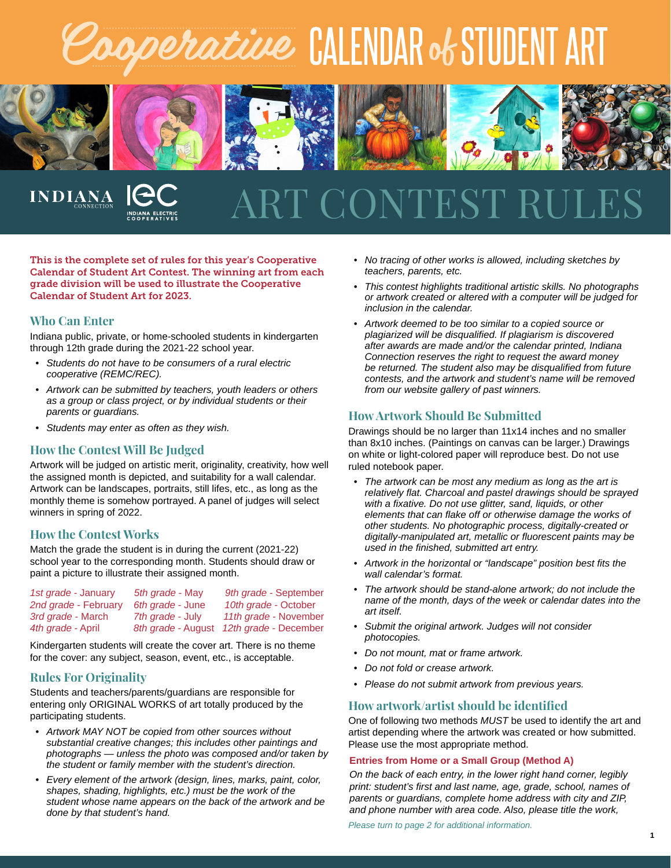# *agperative* CALENDAR of STUDENT ART



## CONTEST R

This is the complete set of rules for this year's Cooperative Calendar of Student Art Contest. The winning art from each grade division will be used to illustrate the Cooperative Calendar of Student Art for 2023.

#### **Who Can Enter**

**INDIANA** 

Indiana public, private, or home-schooled students in kindergarten through 12th grade during the 2021-22 school year.

- *• Students do not have to be consumers of a rural electric cooperative (REMC/REC).*
- *• Artwork can be submitted by teachers, youth leaders or others as a group or class project, or by individual students or their parents or guardians.*
- *• Students may enter as often as they wish.*

#### **How the Contest Will Be Judged**

Artwork will be judged on artistic merit, originality, creativity, how well the assigned month is depicted, and suitability for a wall calendar. Artwork can be landscapes, portraits, still lifes, etc., as long as the monthly theme is somehow portrayed. A panel of judges will select winners in spring of 2022.

#### **How the Contest Works**

Match the grade the student is in during the current (2021-22) school year to the corresponding month. Students should draw or paint a picture to illustrate their assigned month.

| 1st grade - January  | 5th grade - May  | 9th grade - September                    |
|----------------------|------------------|------------------------------------------|
| 2nd grade - February | 6th grade - June | 10th grade - October                     |
| 3rd grade - March    | 7th grade - July | 11th grade - November                    |
| 4th grade - April    |                  | 8th grade - August 12th grade - December |

Kindergarten students will create the cover art. There is no theme for the cover: any subject, season, event, etc., is acceptable.

#### **Rules For Originality**

Students and teachers/parents/guardians are responsible for entering only ORIGINAL WORKS of art totally produced by the participating students.

- *• Artwork MAY NOT be copied from other sources without substantial creative changes; this includes other paintings and photographs — unless the photo was composed and/or taken by the student or family member with the student's direction.*
- *• Every element of the artwork (design, lines, marks, paint, color, shapes, shading, highlights, etc.) must be the work of the student whose name appears on the back of the artwork and be done by that student's hand.*
- *• No tracing of other works is allowed, including sketches by teachers, parents, etc.*
- *• This contest highlights traditional artistic skills. No photographs or artwork created or altered with a computer will be judged for inclusion in the calendar.*
- *• Artwork deemed to be too similar to a copied source or plagiarized will be disqualified. If plagiarism is discovered after awards are made and/or the calendar printed, Indiana Connection reserves the right to request the award money be returned. The student also may be disqualified from future contests, and the artwork and student's name will be removed from our website gallery of past winners.*

#### **How Artwork Should Be Submitted**

Drawings should be no larger than 11x14 inches and no smaller than 8x10 inches. (Paintings on canvas can be larger.) Drawings on white or light-colored paper will reproduce best. Do not use ruled notebook paper.

- *• The artwork can be most any medium as long as the art is relatively flat. Charcoal and pastel drawings should be sprayed with a fixative. Do not use glitter, sand, liquids, or other elements that can flake off or otherwise damage the works of other students. No photographic process, digitally-created or digitally-manipulated art, metallic or fluorescent paints may be used in the finished, submitted art entry.*
- *• Artwork in the horizontal or "landscape" position best fits the wall calendar's format.*
- *• The artwork should be stand-alone artwork; do not include the name of the month, days of the week or calendar dates into the art itself.*
- *• Submit the original artwork. Judges will not consider photocopies.*
- *• Do not mount, mat or frame artwork.*
- *• Do not fold or crease artwork.*
- *• Please do not submit artwork from previous years.*

#### **How artwork/artist should be identified**

One of following two methods *MUST* be used to identify the art and artist depending where the artwork was created or how submitted. Please use the most appropriate method.

#### **Entries from Home or a Small Group (Method A)**

*On the back of each entry, in the lower right hand corner, legibly print: student's first and last name, age, grade, school, names of parents or guardians, complete home address with city and ZIP, and phone number with area code. Also, please title the work,* 

*Please turn to page 2 for additional information.*